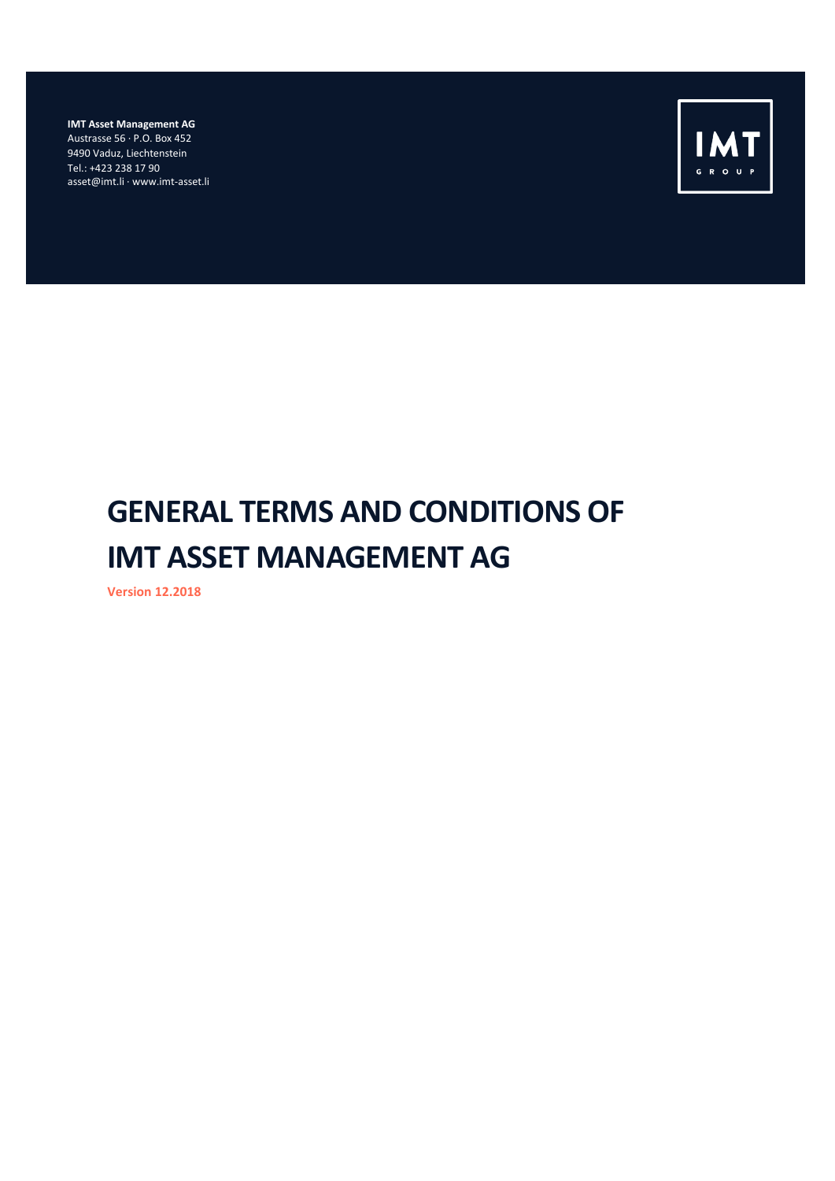**IMT Asset Management AG** Austrasse 56 · P.O. Box 452 9490 Vaduz, Liechtenstein Tel.: +423 238 17 90 asset@imt.li · www.imt-asset.li



# **GENERAL TERMS AND CONDITIONS OF IMT ASSET MANAGEMENT AG**

**Version 12.2018**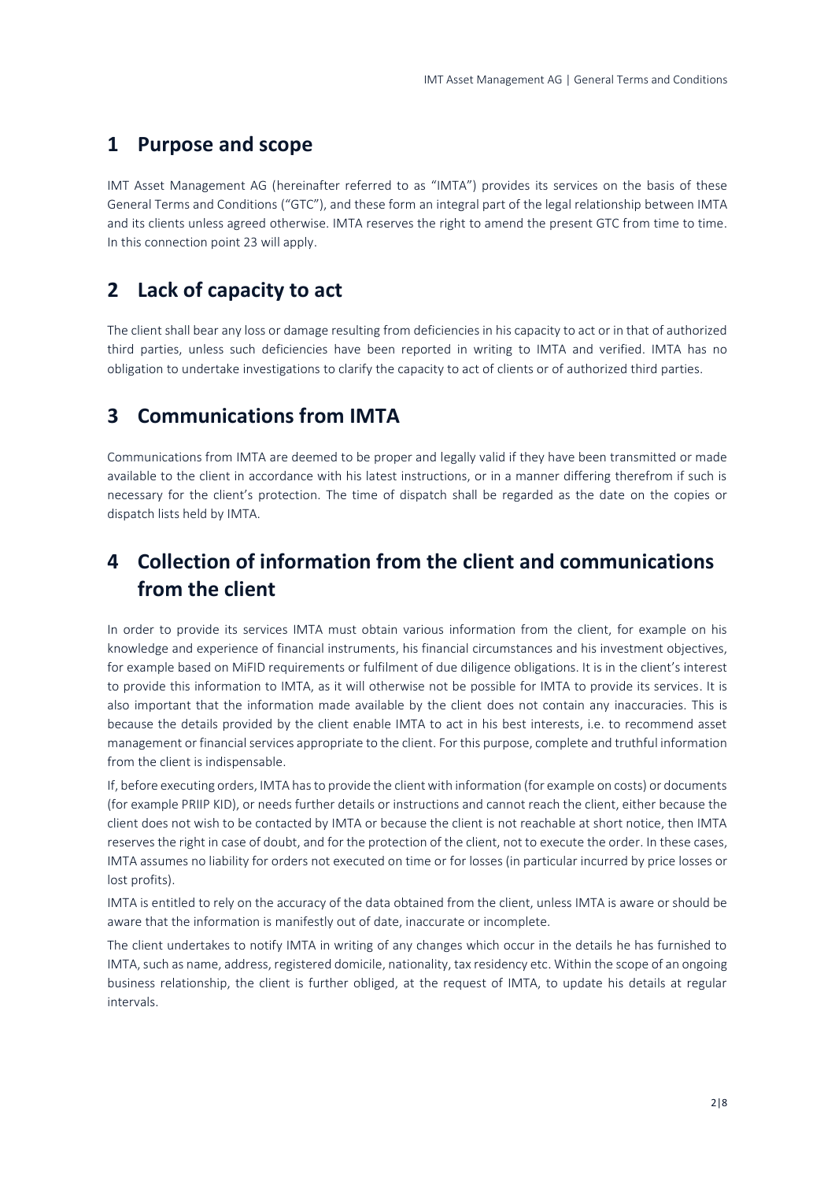#### **1 Purpose and scope**

IMT Asset Management AG (hereinafter referred to as "IMTA") provides its services on the basis of these General Terms and Conditions ("GTC"), and these form an integral part of the legal relationship between IMTA and its clients unless agreed otherwise. IMTA reserves the right to amend the present GTC from time to time. In this connection point 23 will apply.

## **2 Lack of capacity to act**

The client shall bear any loss or damage resulting from deficiencies in his capacity to act or in that of authorized third parties, unless such deficiencies have been reported in writing to IMTA and verified. IMTA has no obligation to undertake investigations to clarify the capacity to act of clients or of authorized third parties.

## **3 Communications from IMTA**

Communications from IMTA are deemed to be proper and legally valid if they have been transmitted or made available to the client in accordance with his latest instructions, or in a manner differing therefrom if such is necessary for the client's protection. The time of dispatch shall be regarded as the date on the copies or dispatch lists held by IMTA.

# **4 Collection of information from the client and communications from the client**

In order to provide its services IMTA must obtain various information from the client, for example on his knowledge and experience of financial instruments, his financial circumstances and his investment objectives, for example based on MiFID requirements or fulfilment of due diligence obligations. It is in the client's interest to provide this information to IMTA, as it will otherwise not be possible for IMTA to provide its services. It is also important that the information made available by the client does not contain any inaccuracies. This is because the details provided by the client enable IMTA to act in his best interests, i.e. to recommend asset management or financial services appropriate to the client. For this purpose, complete and truthful information from the client is indispensable.

If, before executing orders, IMTA has to provide the client with information (for example on costs) or documents (for example PRIIP KID), or needs further details or instructions and cannot reach the client, either because the client does not wish to be contacted by IMTA or because the client is not reachable at short notice, then IMTA reserves the right in case of doubt, and for the protection of the client, not to execute the order. In these cases, IMTA assumes no liability for orders not executed on time or for losses (in particular incurred by price losses or lost profits).

IMTA is entitled to rely on the accuracy of the data obtained from the client, unless IMTA is aware or should be aware that the information is manifestly out of date, inaccurate or incomplete.

The client undertakes to notify IMTA in writing of any changes which occur in the details he has furnished to IMTA, such as name, address, registered domicile, nationality, tax residency etc. Within the scope of an ongoing business relationship, the client is further obliged, at the request of IMTA, to update his details at regular intervals.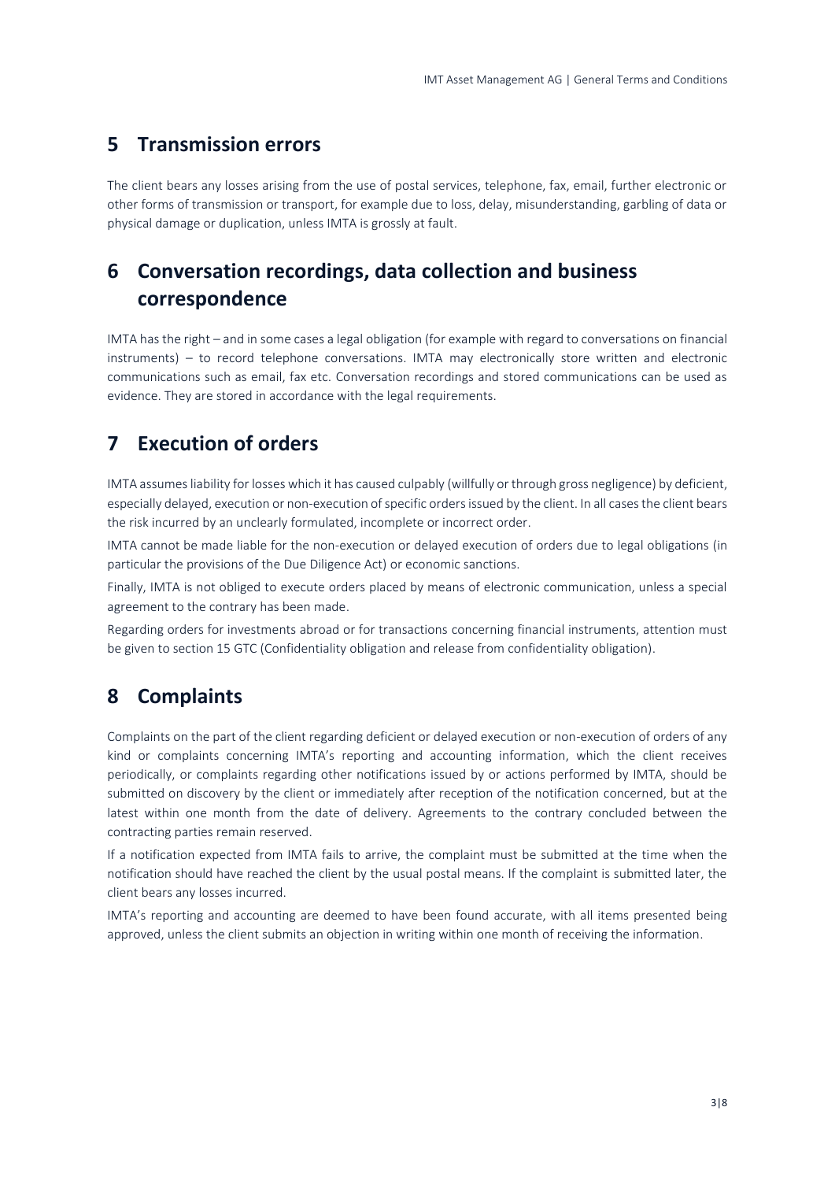#### **5 Transmission errors**

The client bears any losses arising from the use of postal services, telephone, fax, email, further electronic or other forms of transmission or transport, for example due to loss, delay, misunderstanding, garbling of data or physical damage or duplication, unless IMTA is grossly at fault.

# **6 Conversation recordings, data collection and business correspondence**

IMTA has the right – and in some cases a legal obligation (for example with regard to conversations on financial instruments) – to record telephone conversations. IMTA may electronically store written and electronic communications such as email, fax etc. Conversation recordings and stored communications can be used as evidence. They are stored in accordance with the legal requirements.

## **7 Execution of orders**

IMTA assumes liability for losses which it has caused culpably (willfully or through gross negligence) by deficient, especially delayed, execution or non-execution of specific orders issued by the client. In all cases the client bears the risk incurred by an unclearly formulated, incomplete or incorrect order.

IMTA cannot be made liable for the non-execution or delayed execution of orders due to legal obligations (in particular the provisions of the Due Diligence Act) or economic sanctions.

Finally, IMTA is not obliged to execute orders placed by means of electronic communication, unless a special agreement to the contrary has been made.

Regarding orders for investments abroad or for transactions concerning financial instruments, attention must be given to section 15 GTC (Confidentiality obligation and release from confidentiality obligation).

## **8 Complaints**

Complaints on the part of the client regarding deficient or delayed execution or non-execution of orders of any kind or complaints concerning IMTA's reporting and accounting information, which the client receives periodically, or complaints regarding other notifications issued by or actions performed by IMTA, should be submitted on discovery by the client or immediately after reception of the notification concerned, but at the latest within one month from the date of delivery. Agreements to the contrary concluded between the contracting parties remain reserved.

If a notification expected from IMTA fails to arrive, the complaint must be submitted at the time when the notification should have reached the client by the usual postal means. If the complaint is submitted later, the client bears any losses incurred.

IMTA's reporting and accounting are deemed to have been found accurate, with all items presented being approved, unless the client submits an objection in writing within one month of receiving the information.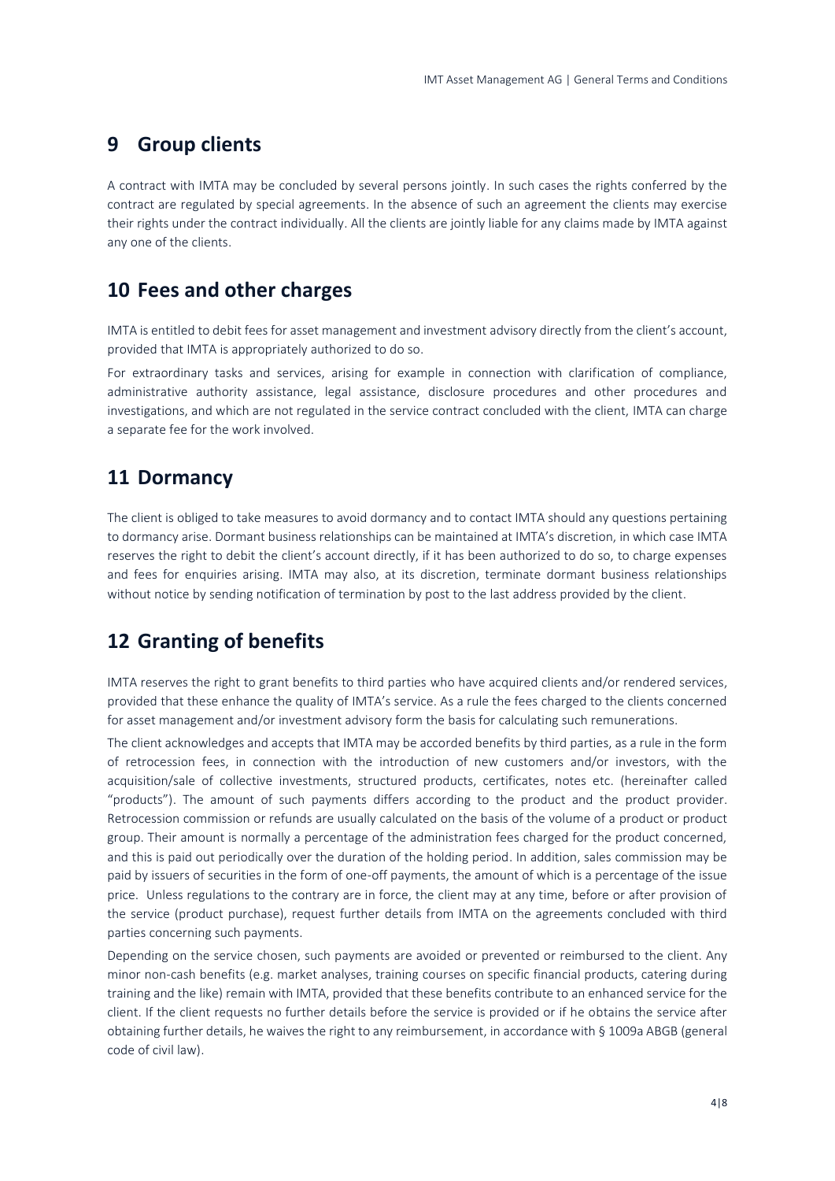#### **9 Group clients**

A contract with IMTA may be concluded by several persons jointly. In such cases the rights conferred by the contract are regulated by special agreements. In the absence of such an agreement the clients may exercise their rights under the contract individually. All the clients are jointly liable for any claims made by IMTA against any one of the clients.

#### **10 Fees and other charges**

IMTA is entitled to debit fees for asset management and investment advisory directly from the client's account, provided that IMTA is appropriately authorized to do so.

For extraordinary tasks and services, arising for example in connection with clarification of compliance, administrative authority assistance, legal assistance, disclosure procedures and other procedures and investigations, and which are not regulated in the service contract concluded with the client, IMTA can charge a separate fee for the work involved.

#### **11 Dormancy**

The client is obliged to take measures to avoid dormancy and to contact IMTA should any questions pertaining to dormancy arise. Dormant business relationships can be maintained at IMTA's discretion, in which case IMTA reserves the right to debit the client's account directly, if it has been authorized to do so, to charge expenses and fees for enquiries arising. IMTA may also, at its discretion, terminate dormant business relationships without notice by sending notification of termination by post to the last address provided by the client.

## **12 Granting of benefits**

IMTA reserves the right to grant benefits to third parties who have acquired clients and/or rendered services, provided that these enhance the quality of IMTA's service. As a rule the fees charged to the clients concerned for asset management and/or investment advisory form the basis for calculating such remunerations.

The client acknowledges and accepts that IMTA may be accorded benefits by third parties, as a rule in the form of retrocession fees, in connection with the introduction of new customers and/or investors, with the acquisition/sale of collective investments, structured products, certificates, notes etc. (hereinafter called "products"). The amount of such payments differs according to the product and the product provider. Retrocession commission or refunds are usually calculated on the basis of the volume of a product or product group. Their amount is normally a percentage of the administration fees charged for the product concerned, and this is paid out periodically over the duration of the holding period. In addition, sales commission may be paid by issuers of securities in the form of one-off payments, the amount of which is a percentage of the issue price. Unless regulations to the contrary are in force, the client may at any time, before or after provision of the service (product purchase), request further details from IMTA on the agreements concluded with third parties concerning such payments.

Depending on the service chosen, such payments are avoided or prevented or reimbursed to the client. Any minor non-cash benefits (e.g. market analyses, training courses on specific financial products, catering during training and the like) remain with IMTA, provided that these benefits contribute to an enhanced service for the client. If the client requests no further details before the service is provided or if he obtains the service after obtaining further details, he waives the right to any reimbursement, in accordance with § 1009a ABGB (general code of civil law).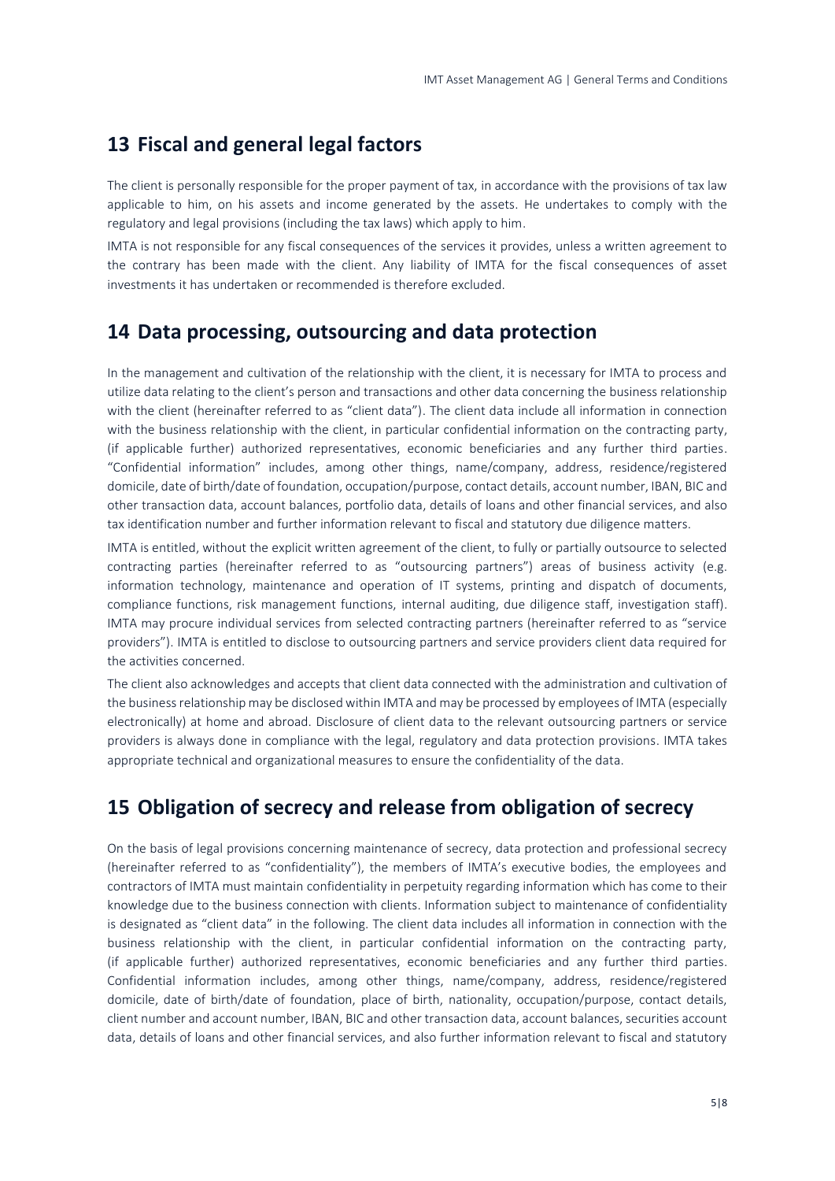#### **13 Fiscal and general legal factors**

The client is personally responsible for the proper payment of tax, in accordance with the provisions of tax law applicable to him, on his assets and income generated by the assets. He undertakes to comply with the regulatory and legal provisions (including the tax laws) which apply to him.

IMTA is not responsible for any fiscal consequences of the services it provides, unless a written agreement to the contrary has been made with the client. Any liability of IMTA for the fiscal consequences of asset investments it has undertaken or recommended is therefore excluded.

#### **14 Data processing, outsourcing and data protection**

In the management and cultivation of the relationship with the client, it is necessary for IMTA to process and utilize data relating to the client's person and transactions and other data concerning the business relationship with the client (hereinafter referred to as "client data"). The client data include all information in connection with the business relationship with the client, in particular confidential information on the contracting party, (if applicable further) authorized representatives, economic beneficiaries and any further third parties. "Confidential information" includes, among other things, name/company, address, residence/registered domicile, date of birth/date of foundation, occupation/purpose, contact details, account number, IBAN, BIC and other transaction data, account balances, portfolio data, details of loans and other financial services, and also tax identification number and further information relevant to fiscal and statutory due diligence matters.

IMTA is entitled, without the explicit written agreement of the client, to fully or partially outsource to selected contracting parties (hereinafter referred to as "outsourcing partners") areas of business activity (e.g. information technology, maintenance and operation of IT systems, printing and dispatch of documents, compliance functions, risk management functions, internal auditing, due diligence staff, investigation staff). IMTA may procure individual services from selected contracting partners (hereinafter referred to as "service providers"). IMTA is entitled to disclose to outsourcing partners and service providers client data required for the activities concerned.

The client also acknowledges and accepts that client data connected with the administration and cultivation of the business relationship may be disclosed within IMTA and may be processed by employees of IMTA (especially electronically) at home and abroad. Disclosure of client data to the relevant outsourcing partners or service providers is always done in compliance with the legal, regulatory and data protection provisions. IMTA takes appropriate technical and organizational measures to ensure the confidentiality of the data.

## **15 Obligation of secrecy and release from obligation of secrecy**

On the basis of legal provisions concerning maintenance of secrecy, data protection and professional secrecy (hereinafter referred to as "confidentiality"), the members of IMTA's executive bodies, the employees and contractors of IMTA must maintain confidentiality in perpetuity regarding information which has come to their knowledge due to the business connection with clients. Information subject to maintenance of confidentiality is designated as "client data" in the following. The client data includes all information in connection with the business relationship with the client, in particular confidential information on the contracting party, (if applicable further) authorized representatives, economic beneficiaries and any further third parties. Confidential information includes, among other things, name/company, address, residence/registered domicile, date of birth/date of foundation, place of birth, nationality, occupation/purpose, contact details, client number and account number, IBAN, BIC and other transaction data, account balances, securities account data, details of loans and other financial services, and also further information relevant to fiscal and statutory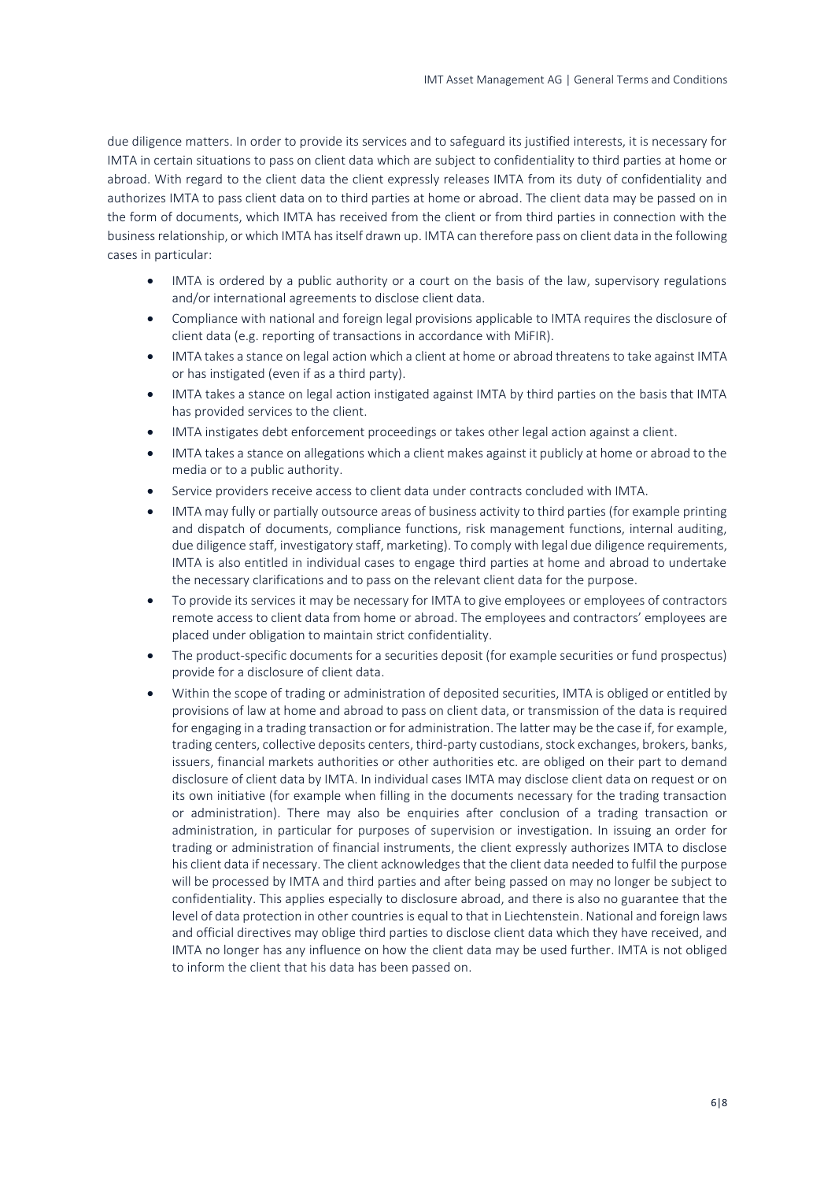due diligence matters. In order to provide its services and to safeguard its justified interests, it is necessary for IMTA in certain situations to pass on client data which are subject to confidentiality to third parties at home or abroad. With regard to the client data the client expressly releases IMTA from its duty of confidentiality and authorizes IMTA to pass client data on to third parties at home or abroad. The client data may be passed on in the form of documents, which IMTA has received from the client or from third parties in connection with the business relationship, or which IMTA has itself drawn up. IMTA can therefore pass on client data in the following cases in particular:

- IMTA is ordered by a public authority or a court on the basis of the law, supervisory regulations and/or international agreements to disclose client data.
- Compliance with national and foreign legal provisions applicable to IMTA requires the disclosure of client data (e.g. reporting of transactions in accordance with MiFIR).
- IMTA takes a stance on legal action which a client at home or abroad threatens to take against IMTA or has instigated (even if as a third party).
- IMTA takes a stance on legal action instigated against IMTA by third parties on the basis that IMTA has provided services to the client.
- IMTA instigates debt enforcement proceedings or takes other legal action against a client.
- IMTA takes a stance on allegations which a client makes against it publicly at home or abroad to the media or to a public authority.
- Service providers receive access to client data under contracts concluded with IMTA.
- IMTA may fully or partially outsource areas of business activity to third parties (for example printing and dispatch of documents, compliance functions, risk management functions, internal auditing, due diligence staff, investigatory staff, marketing). To comply with legal due diligence requirements, IMTA is also entitled in individual cases to engage third parties at home and abroad to undertake the necessary clarifications and to pass on the relevant client data for the purpose.
- To provide its services it may be necessary for IMTA to give employees or employees of contractors remote access to client data from home or abroad. The employees and contractors' employees are placed under obligation to maintain strict confidentiality.
- The product-specific documents for a securities deposit (for example securities or fund prospectus) provide for a disclosure of client data.
- Within the scope of trading or administration of deposited securities, IMTA is obliged or entitled by provisions of law at home and abroad to pass on client data, or transmission of the data is required for engaging in a trading transaction or for administration. The latter may be the case if, for example, trading centers, collective deposits centers, third-party custodians, stock exchanges, brokers, banks, issuers, financial markets authorities or other authorities etc. are obliged on their part to demand disclosure of client data by IMTA. In individual cases IMTA may disclose client data on request or on its own initiative (for example when filling in the documents necessary for the trading transaction or administration). There may also be enquiries after conclusion of a trading transaction or administration, in particular for purposes of supervision or investigation. In issuing an order for trading or administration of financial instruments, the client expressly authorizes IMTA to disclose his client data if necessary. The client acknowledges that the client data needed to fulfil the purpose will be processed by IMTA and third parties and after being passed on may no longer be subject to confidentiality. This applies especially to disclosure abroad, and there is also no guarantee that the level of data protection in other countries is equal to that in Liechtenstein. National and foreign laws and official directives may oblige third parties to disclose client data which they have received, and IMTA no longer has any influence on how the client data may be used further. IMTA is not obliged to inform the client that his data has been passed on.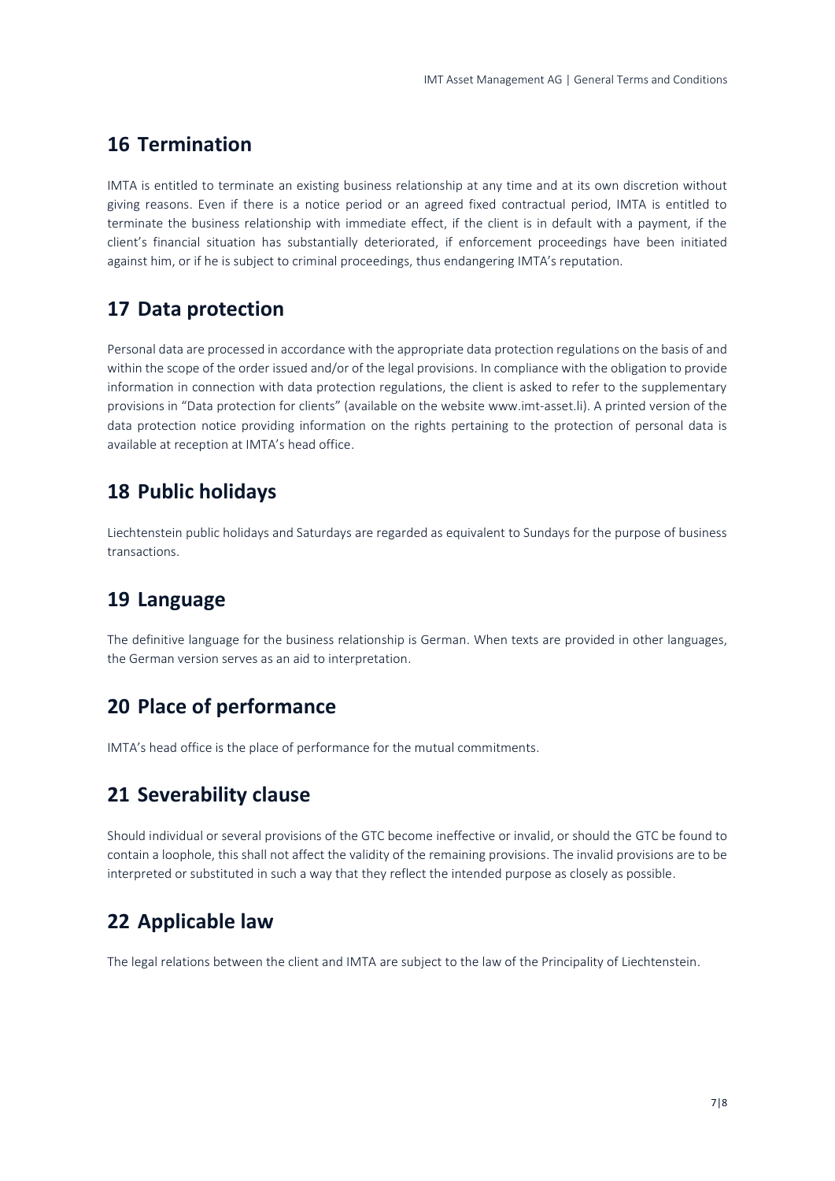#### **16 Termination**

IMTA is entitled to terminate an existing business relationship at any time and at its own discretion without giving reasons. Even if there is a notice period or an agreed fixed contractual period, IMTA is entitled to terminate the business relationship with immediate effect, if the client is in default with a payment, if the client's financial situation has substantially deteriorated, if enforcement proceedings have been initiated against him, or if he is subject to criminal proceedings, thus endangering IMTA's reputation.

## **17 Data protection**

Personal data are processed in accordance with the appropriate data protection regulations on the basis of and within the scope of the order issued and/or of the legal provisions. In compliance with the obligation to provide information in connection with data protection regulations, the client is asked to refer to the supplementary provisions in "Data protection for clients" (available on the website www.imt-asset.li). A printed version of the data protection notice providing information on the rights pertaining to the protection of personal data is available at reception at IMTA's head office.

## **18 Public holidays**

Liechtenstein public holidays and Saturdays are regarded as equivalent to Sundays for the purpose of business transactions.

## **19 Language**

The definitive language for the business relationship is German. When texts are provided in other languages, the German version serves as an aid to interpretation.

## **20 Place of performance**

IMTA's head office is the place of performance for the mutual commitments.

## **21 Severability clause**

Should individual or several provisions of the GTC become ineffective or invalid, or should the GTC be found to contain a loophole, this shall not affect the validity of the remaining provisions. The invalid provisions are to be interpreted or substituted in such a way that they reflect the intended purpose as closely as possible.

## **22 Applicable law**

The legal relations between the client and IMTA are subject to the law of the Principality of Liechtenstein.